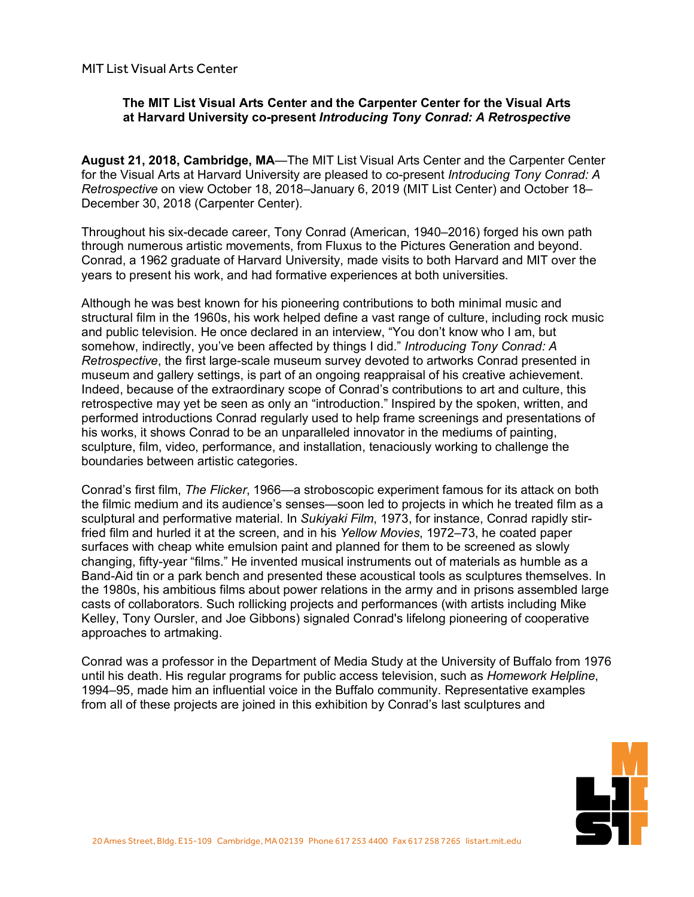MIT List Visual Arts Center

# **The MIT List Visual Arts Center and the Carpenter Center for the Visual Arts at Harvard University co-present** *Introducing Tony Conrad: A Retrospective*

**August 21, 2018, Cambridge, MA**—The MIT List Visual Arts Center and the Carpenter Center for the Visual Arts at Harvard University are pleased to co-present *Introducing Tony Conrad: A Retrospective* on view October 18, 2018–January 6, 2019 (MIT List Center) and October 18– December 30, 2018 (Carpenter Center).

Throughout his six-decade career, Tony Conrad (American, 1940–2016) forged his own path through numerous artistic movements, from Fluxus to the Pictures Generation and beyond. Conrad, a 1962 graduate of Harvard University, made visits to both Harvard and MIT over the years to present his work, and had formative experiences at both universities.

Although he was best known for his pioneering contributions to both minimal music and structural film in the 1960s, his work helped define a vast range of culture, including rock music and public television. He once declared in an interview, "You don't know who I am, but somehow, indirectly, you've been affected by things I did." *Introducing Tony Conrad: A Retrospective*, the first large-scale museum survey devoted to artworks Conrad presented in museum and gallery settings, is part of an ongoing reappraisal of his creative achievement. Indeed, because of the extraordinary scope of Conrad's contributions to art and culture, this retrospective may yet be seen as only an "introduction." Inspired by the spoken, written, and performed introductions Conrad regularly used to help frame screenings and presentations of his works, it shows Conrad to be an unparalleled innovator in the mediums of painting, sculpture, film, video, performance, and installation, tenaciously working to challenge the boundaries between artistic categories.

Conrad's first film, *The Flicker*, 1966—a stroboscopic experiment famous for its attack on both the filmic medium and its audience's senses—soon led to projects in which he treated film as a sculptural and performative material. In *Sukiyaki Film*, 1973, for instance, Conrad rapidly stirfried film and hurled it at the screen, and in his *Yellow Movies*, 1972–73, he coated paper surfaces with cheap white emulsion paint and planned for them to be screened as slowly changing, fifty-year "films." He invented musical instruments out of materials as humble as a Band-Aid tin or a park bench and presented these acoustical tools as sculptures themselves. In the 1980s, his ambitious films about power relations in the army and in prisons assembled large casts of collaborators. Such rollicking projects and performances (with artists including Mike Kelley, Tony Oursler, and Joe Gibbons) signaled Conrad's lifelong pioneering of cooperative approaches to artmaking.

Conrad was a professor in the Department of Media Study at the University of Buffalo from 1976 until his death. His regular programs for public access television, such as *Homework Helpline*, 1994–95, made him an influential voice in the Buffalo community. Representative examples from all of these projects are joined in this exhibition by Conrad's last sculptures and

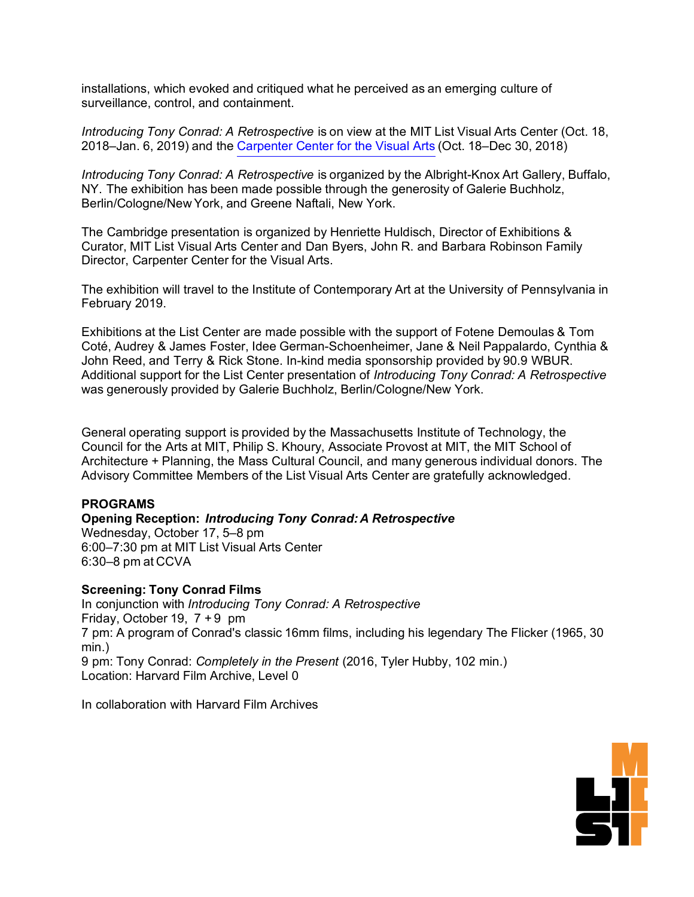installations, which evoked and critiqued what he perceived as an emerging culture of surveillance, control, and containment.

*Introducing Tony Conrad: A Retrospective* is on view at the MIT List Visual Arts Center (Oct. 18, 2018–Jan. 6, 2019) and the Carpenter [Center for the Visual Arts](https://carpenter.center/) (Oct. 18–Dec 30, 2018)

*Introducing Tony Conrad: A Retrospective* is organized by the Albright-Knox Art Gallery, Buffalo, NY. The exhibition has been made possible through the generosity of Galerie Buchholz, Berlin/Cologne/New York, and Greene Naftali, New York.

The Cambridge presentation is organized by Henriette Huldisch, Director of Exhibitions & Curator, MIT List Visual Arts Center and Dan Byers, John R. and Barbara Robinson Family Director, Carpenter Center for the Visual Arts.

The exhibition will travel to the Institute of Contemporary Art at the University of Pennsylvania in February 2019.

Exhibitions at the List Center are made possible with the support of Fotene Demoulas & Tom Coté, Audrey & James Foster, Idee German-Schoenheimer, Jane & Neil Pappalardo, Cynthia & John Reed, and Terry & Rick Stone. In-kind media sponsorship provided by 90.9 WBUR. Additional support for the List Center presentation of *Introducing Tony Conrad: A Retrospective* was generously provided by Galerie Buchholz, Berlin/Cologne/New York.

General operating support is provided by the Massachusetts Institute of Technology, the Council for the Arts at MIT, Philip S. Khoury, Associate Provost at MIT, the MIT School of Architecture + Planning, the Mass Cultural Council, and many generous individual donors. The Advisory Committee Members of the List Visual Arts Center are gratefully acknowledged.

# **PROGRAMS**

### **Opening Reception:** *Introducing Tony Conrad: A Retrospective*

Wednesday, October 17, 5–8 pm 6:00–7:30 pm at MIT List Visual Arts Center 6:30–8 pm at CCVA

#### **Screening: Tony Conrad Films**

In conjunction with *Introducing Tony Conrad: A Retrospective* Friday, October 19, 7 + 9 pm 7 pm: A program of Conrad's classic 16mm films, including his legendary The Flicker (1965, 30 min.) 9 pm: Tony Conrad: *Completely in the Present* (2016, Tyler Hubby, 102 min.) Location: Harvard Film Archive, Level 0

In collaboration with Harvard Film Archives

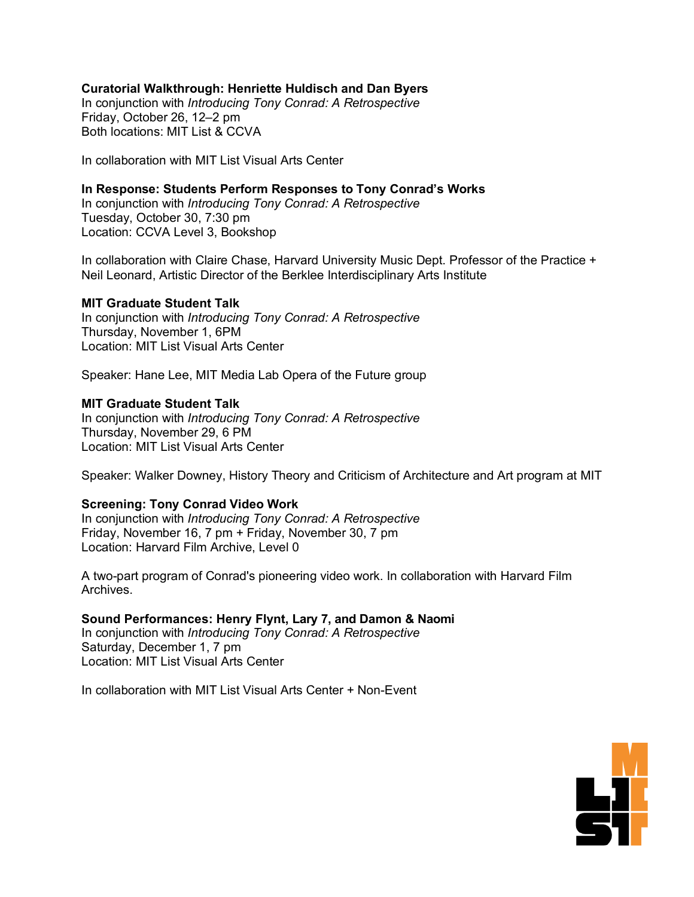### **Curatorial Walkthrough: Henriette Huldisch and Dan Byers**

In conjunction with *Introducing Tony Conrad: A Retrospective*  Friday, October 26, 12–2 pm Both locations: MIT List & CCVA

In collaboration with MIT List Visual Arts Center

# **In Response: Students Perform Responses to Tony Conrad's Works**

In conjunction with *Introducing Tony Conrad: A Retrospective* Tuesday, October 30, 7:30 pm Location: CCVA Level 3, Bookshop

In collaboration with Claire Chase, Harvard University Music Dept. Professor of the Practice + Neil Leonard, Artistic Director of the Berklee Interdisciplinary Arts Institute

#### **MIT Graduate Student Talk**

In conjunction with *Introducing Tony Conrad: A Retrospective*  Thursday, November 1, 6PM Location: MIT List Visual Arts Center

Speaker: Hane Lee, MIT Media Lab Opera of the Future group

#### **MIT Graduate Student Talk**

In conjunction with *Introducing Tony Conrad: A Retrospective* Thursday, November 29, 6 PM Location: MIT List Visual Arts Center

Speaker: Walker Downey, History Theory and Criticism of Architecture and Art program at MIT

#### **Screening: Tony Conrad Video Work**

In conjunction with *Introducing Tony Conrad: A Retrospective* Friday, November 16, 7 pm + Friday, November 30, 7 pm Location: Harvard Film Archive, Level 0

A two-part program of Conrad's pioneering video work. In collaboration with Harvard Film Archives.

**Sound Performances: Henry Flynt, Lary 7, and Damon & Naomi** In conjunction with *Introducing Tony Conrad: A Retrospective* Saturday, December 1, 7 pm Location: MIT List Visual Arts Center

In collaboration with MIT List Visual Arts Center + Non-Event

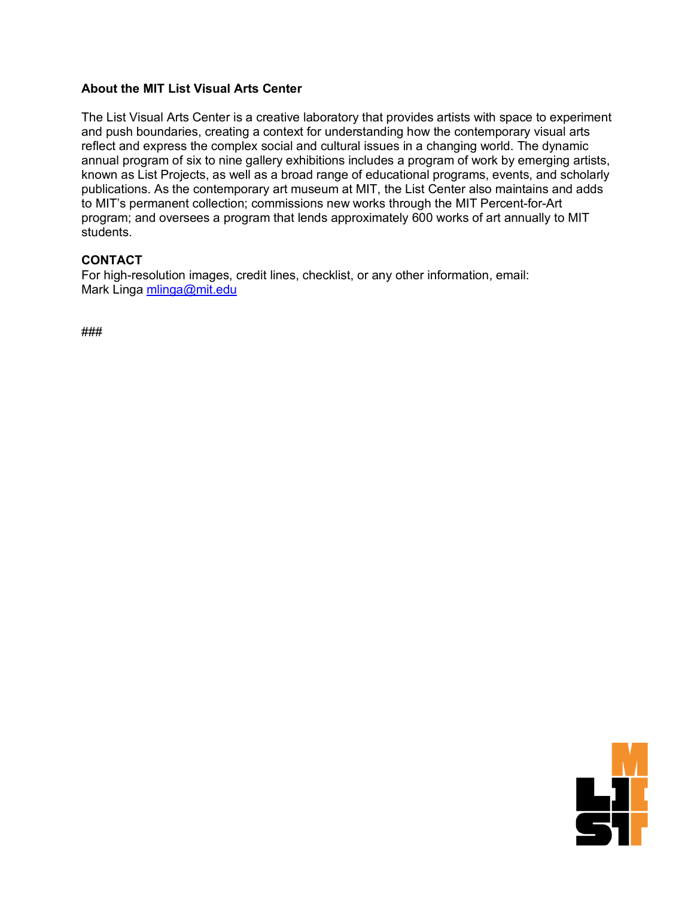# **About the MIT List Visual Arts Center**

The List Visual Arts Center is a creative laboratory that provides artists with space to experiment and push boundaries, creating a context for understanding how the contemporary visual arts reflect and express the complex social and cultural issues in a changing world. The dynamic annual program of six to nine gallery exhibitions includes a program of work by emerging artists, known as List Projects, as well as a broad range of educational programs, events, and scholarly publications. As the contemporary art museum at MIT, the List Center also maintains and adds to MIT's permanent collection; commissions new works through the MIT Percent-for-Art program; and oversees a program that lends approximately 600 works of art annually to MIT students.

# **CONTACT**

For high-resolution images, credit lines, checklist, or any other information, email: Mark Linga [mlinga@mit.edu](mailto:mlinga@mit.edu)

###